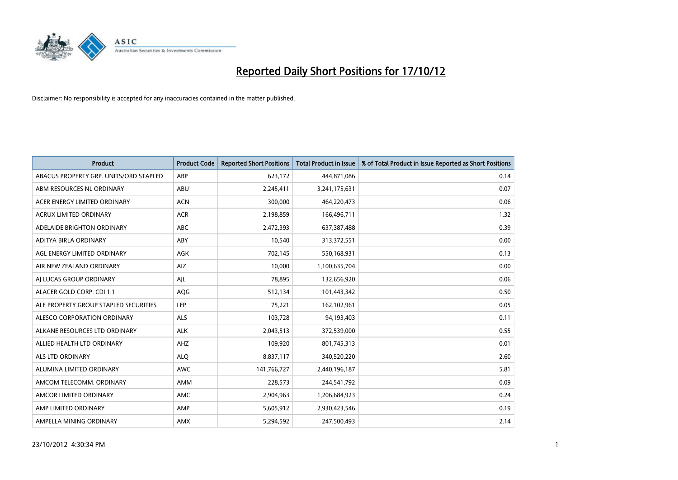

| <b>Product</b>                         | <b>Product Code</b> | <b>Reported Short Positions</b> | <b>Total Product in Issue</b> | % of Total Product in Issue Reported as Short Positions |
|----------------------------------------|---------------------|---------------------------------|-------------------------------|---------------------------------------------------------|
| ABACUS PROPERTY GRP. UNITS/ORD STAPLED | ABP                 | 623,172                         | 444,871,086                   | 0.14                                                    |
| ABM RESOURCES NL ORDINARY              | ABU                 | 2,245,411                       | 3,241,175,631                 | 0.07                                                    |
| ACER ENERGY LIMITED ORDINARY           | <b>ACN</b>          | 300,000                         | 464,220,473                   | 0.06                                                    |
| ACRUX LIMITED ORDINARY                 | <b>ACR</b>          | 2,198,859                       | 166,496,711                   | 1.32                                                    |
| ADELAIDE BRIGHTON ORDINARY             | <b>ABC</b>          | 2,472,393                       | 637,387,488                   | 0.39                                                    |
| ADITYA BIRLA ORDINARY                  | ABY                 | 10,540                          | 313,372,551                   | 0.00                                                    |
| AGL ENERGY LIMITED ORDINARY            | AGK                 | 702.145                         | 550,168,931                   | 0.13                                                    |
| AIR NEW ZEALAND ORDINARY               | AIZ                 | 10,000                          | 1,100,635,704                 | 0.00                                                    |
| AI LUCAS GROUP ORDINARY                | AJL                 | 78,895                          | 132,656,920                   | 0.06                                                    |
| ALACER GOLD CORP. CDI 1:1              | AQG                 | 512,134                         | 101,443,342                   | 0.50                                                    |
| ALE PROPERTY GROUP STAPLED SECURITIES  | <b>LEP</b>          | 75,221                          | 162,102,961                   | 0.05                                                    |
| <b>ALESCO CORPORATION ORDINARY</b>     | <b>ALS</b>          | 103,728                         | 94,193,403                    | 0.11                                                    |
| ALKANE RESOURCES LTD ORDINARY          | <b>ALK</b>          | 2,043,513                       | 372,539,000                   | 0.55                                                    |
| ALLIED HEALTH LTD ORDINARY             | AHZ                 | 109,920                         | 801,745,313                   | 0.01                                                    |
| <b>ALS LTD ORDINARY</b>                | <b>ALQ</b>          | 8,837,117                       | 340,520,220                   | 2.60                                                    |
| ALUMINA LIMITED ORDINARY               | <b>AWC</b>          | 141,766,727                     | 2,440,196,187                 | 5.81                                                    |
| AMCOM TELECOMM, ORDINARY               | <b>AMM</b>          | 228,573                         | 244,541,792                   | 0.09                                                    |
| AMCOR LIMITED ORDINARY                 | <b>AMC</b>          | 2,904,963                       | 1,206,684,923                 | 0.24                                                    |
| AMP LIMITED ORDINARY                   | AMP                 | 5,605,912                       | 2,930,423,546                 | 0.19                                                    |
| AMPELLA MINING ORDINARY                | <b>AMX</b>          | 5.294.592                       | 247,500,493                   | 2.14                                                    |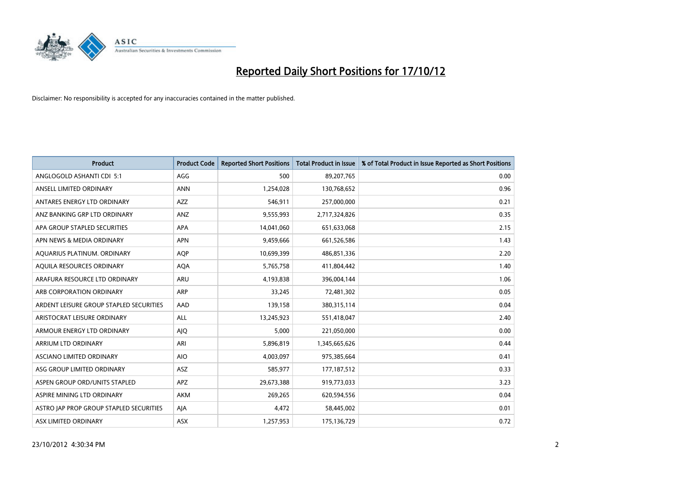

| <b>Product</b>                          | <b>Product Code</b> | <b>Reported Short Positions</b> | <b>Total Product in Issue</b> | % of Total Product in Issue Reported as Short Positions |
|-----------------------------------------|---------------------|---------------------------------|-------------------------------|---------------------------------------------------------|
| ANGLOGOLD ASHANTI CDI 5:1               | AGG                 | 500                             | 89,207,765                    | 0.00                                                    |
| ANSELL LIMITED ORDINARY                 | <b>ANN</b>          | 1,254,028                       | 130,768,652                   | 0.96                                                    |
| ANTARES ENERGY LTD ORDINARY             | <b>AZZ</b>          | 546,911                         | 257,000,000                   | 0.21                                                    |
| ANZ BANKING GRP LTD ORDINARY            | ANZ                 | 9,555,993                       | 2,717,324,826                 | 0.35                                                    |
| APA GROUP STAPLED SECURITIES            | APA                 | 14,041,060                      | 651,633,068                   | 2.15                                                    |
| APN NEWS & MEDIA ORDINARY               | <b>APN</b>          | 9,459,666                       | 661,526,586                   | 1.43                                                    |
| AQUARIUS PLATINUM. ORDINARY             | <b>AOP</b>          | 10,699,399                      | 486,851,336                   | 2.20                                                    |
| AQUILA RESOURCES ORDINARY               | <b>AQA</b>          | 5,765,758                       | 411,804,442                   | 1.40                                                    |
| ARAFURA RESOURCE LTD ORDINARY           | <b>ARU</b>          | 4,193,838                       | 396,004,144                   | 1.06                                                    |
| ARB CORPORATION ORDINARY                | <b>ARP</b>          | 33,245                          | 72,481,302                    | 0.05                                                    |
| ARDENT LEISURE GROUP STAPLED SECURITIES | AAD                 | 139,158                         | 380, 315, 114                 | 0.04                                                    |
| ARISTOCRAT LEISURE ORDINARY             | ALL                 | 13,245,923                      | 551,418,047                   | 2.40                                                    |
| ARMOUR ENERGY LTD ORDINARY              | AJQ                 | 5,000                           | 221,050,000                   | 0.00                                                    |
| ARRIUM LTD ORDINARY                     | ARI                 | 5,896,819                       | 1,345,665,626                 | 0.44                                                    |
| ASCIANO LIMITED ORDINARY                | <b>AIO</b>          | 4,003,097                       | 975,385,664                   | 0.41                                                    |
| ASG GROUP LIMITED ORDINARY              | ASZ                 | 585,977                         | 177, 187, 512                 | 0.33                                                    |
| ASPEN GROUP ORD/UNITS STAPLED           | APZ                 | 29,673,388                      | 919,773,033                   | 3.23                                                    |
| ASPIRE MINING LTD ORDINARY              | <b>AKM</b>          | 269,265                         | 620,594,556                   | 0.04                                                    |
| ASTRO JAP PROP GROUP STAPLED SECURITIES | AJA                 | 4,472                           | 58,445,002                    | 0.01                                                    |
| ASX LIMITED ORDINARY                    | ASX                 | 1,257,953                       | 175,136,729                   | 0.72                                                    |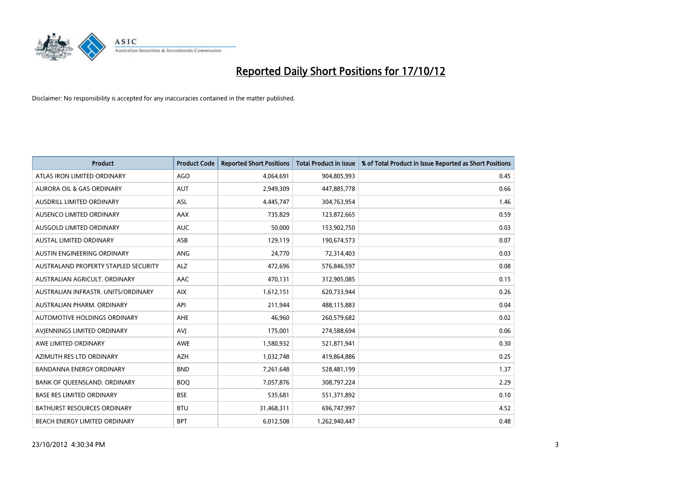

| <b>Product</b>                       | <b>Product Code</b> | <b>Reported Short Positions</b> | <b>Total Product in Issue</b> | % of Total Product in Issue Reported as Short Positions |
|--------------------------------------|---------------------|---------------------------------|-------------------------------|---------------------------------------------------------|
| ATLAS IRON LIMITED ORDINARY          | AGO                 | 4,064,691                       | 904,805,993                   | 0.45                                                    |
| AURORA OIL & GAS ORDINARY            | <b>AUT</b>          | 2,949,309                       | 447,885,778                   | 0.66                                                    |
| <b>AUSDRILL LIMITED ORDINARY</b>     | <b>ASL</b>          | 4,445,747                       | 304,763,954                   | 1.46                                                    |
| AUSENCO LIMITED ORDINARY             | AAX                 | 735,829                         | 123,872,665                   | 0.59                                                    |
| AUSGOLD LIMITED ORDINARY             | <b>AUC</b>          | 50,000                          | 153,902,750                   | 0.03                                                    |
| <b>AUSTAL LIMITED ORDINARY</b>       | ASB                 | 129,119                         | 190,674,573                   | 0.07                                                    |
| AUSTIN ENGINEERING ORDINARY          | ANG                 | 24,770                          | 72,314,403                    | 0.03                                                    |
| AUSTRALAND PROPERTY STAPLED SECURITY | <b>ALZ</b>          | 472,696                         | 576,846,597                   | 0.08                                                    |
| AUSTRALIAN AGRICULT. ORDINARY        | AAC                 | 470,131                         | 312,905,085                   | 0.15                                                    |
| AUSTRALIAN INFRASTR, UNITS/ORDINARY  | <b>AIX</b>          | 1,612,151                       | 620,733,944                   | 0.26                                                    |
| AUSTRALIAN PHARM. ORDINARY           | API                 | 211,944                         | 488,115,883                   | 0.04                                                    |
| <b>AUTOMOTIVE HOLDINGS ORDINARY</b>  | <b>AHE</b>          | 46,960                          | 260,579,682                   | 0.02                                                    |
| AVJENNINGS LIMITED ORDINARY          | AVI                 | 175,001                         | 274,588,694                   | 0.06                                                    |
| AWE LIMITED ORDINARY                 | <b>AWE</b>          | 1,580,932                       | 521,871,941                   | 0.30                                                    |
| AZIMUTH RES LTD ORDINARY             | <b>AZH</b>          | 1,032,748                       | 419,864,886                   | 0.25                                                    |
| BANDANNA ENERGY ORDINARY             | <b>BND</b>          | 7,261,648                       | 528,481,199                   | 1.37                                                    |
| BANK OF QUEENSLAND. ORDINARY         | <b>BOQ</b>          | 7,057,876                       | 308,797,224                   | 2.29                                                    |
| <b>BASE RES LIMITED ORDINARY</b>     | <b>BSE</b>          | 535,681                         | 551,371,892                   | 0.10                                                    |
| <b>BATHURST RESOURCES ORDINARY</b>   | <b>BTU</b>          | 31,468,311                      | 696,747,997                   | 4.52                                                    |
| <b>BEACH ENERGY LIMITED ORDINARY</b> | <b>BPT</b>          | 6,012,508                       | 1,262,940,447                 | 0.48                                                    |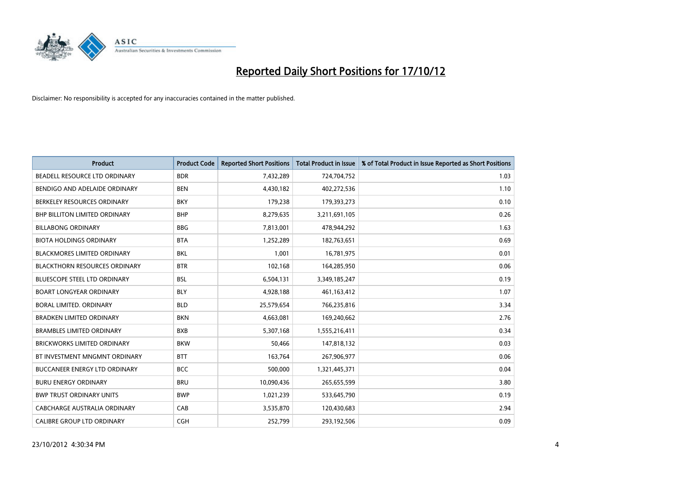

| <b>Product</b>                       | <b>Product Code</b> | <b>Reported Short Positions</b> | <b>Total Product in Issue</b> | % of Total Product in Issue Reported as Short Positions |
|--------------------------------------|---------------------|---------------------------------|-------------------------------|---------------------------------------------------------|
| BEADELL RESOURCE LTD ORDINARY        | <b>BDR</b>          | 7,432,289                       | 724,704,752                   | 1.03                                                    |
| BENDIGO AND ADELAIDE ORDINARY        | <b>BEN</b>          | 4,430,182                       | 402,272,536                   | 1.10                                                    |
| BERKELEY RESOURCES ORDINARY          | <b>BKY</b>          | 179,238                         | 179,393,273                   | 0.10                                                    |
| BHP BILLITON LIMITED ORDINARY        | <b>BHP</b>          | 8,279,635                       | 3,211,691,105                 | 0.26                                                    |
| <b>BILLABONG ORDINARY</b>            | <b>BBG</b>          | 7,813,001                       | 478,944,292                   | 1.63                                                    |
| <b>BIOTA HOLDINGS ORDINARY</b>       | <b>BTA</b>          | 1,252,289                       | 182,763,651                   | 0.69                                                    |
| <b>BLACKMORES LIMITED ORDINARY</b>   | <b>BKL</b>          | 1.001                           | 16,781,975                    | 0.01                                                    |
| <b>BLACKTHORN RESOURCES ORDINARY</b> | <b>BTR</b>          | 102,168                         | 164,285,950                   | 0.06                                                    |
| BLUESCOPE STEEL LTD ORDINARY         | <b>BSL</b>          | 6,504,131                       | 3,349,185,247                 | 0.19                                                    |
| <b>BOART LONGYEAR ORDINARY</b>       | <b>BLY</b>          | 4,928,188                       | 461,163,412                   | 1.07                                                    |
| BORAL LIMITED, ORDINARY              | <b>BLD</b>          | 25,579,654                      | 766,235,816                   | 3.34                                                    |
| <b>BRADKEN LIMITED ORDINARY</b>      | <b>BKN</b>          | 4,663,081                       | 169,240,662                   | 2.76                                                    |
| <b>BRAMBLES LIMITED ORDINARY</b>     | <b>BXB</b>          | 5,307,168                       | 1,555,216,411                 | 0.34                                                    |
| <b>BRICKWORKS LIMITED ORDINARY</b>   | <b>BKW</b>          | 50,466                          | 147,818,132                   | 0.03                                                    |
| BT INVESTMENT MNGMNT ORDINARY        | <b>BTT</b>          | 163,764                         | 267,906,977                   | 0.06                                                    |
| BUCCANEER ENERGY LTD ORDINARY        | <b>BCC</b>          | 500,000                         | 1,321,445,371                 | 0.04                                                    |
| <b>BURU ENERGY ORDINARY</b>          | <b>BRU</b>          | 10,090,436                      | 265,655,599                   | 3.80                                                    |
| <b>BWP TRUST ORDINARY UNITS</b>      | <b>BWP</b>          | 1,021,239                       | 533,645,790                   | 0.19                                                    |
| CABCHARGE AUSTRALIA ORDINARY         | CAB                 | 3,535,870                       | 120,430,683                   | 2.94                                                    |
| CALIBRE GROUP LTD ORDINARY           | <b>CGH</b>          | 252.799                         | 293,192,506                   | 0.09                                                    |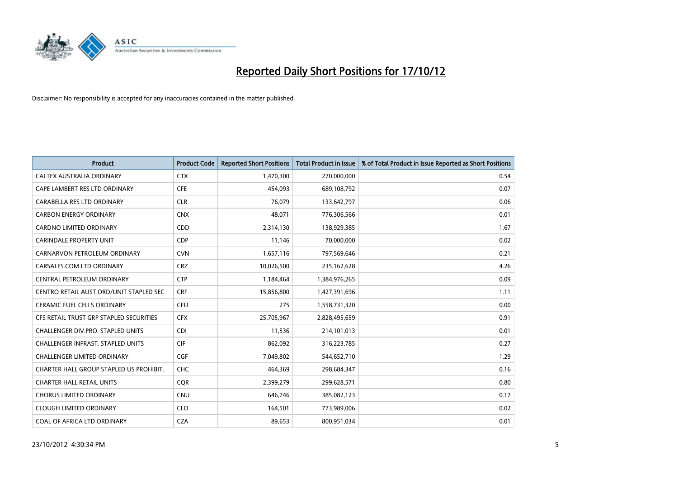

| <b>Product</b>                           | <b>Product Code</b> | <b>Reported Short Positions</b> | <b>Total Product in Issue</b> | % of Total Product in Issue Reported as Short Positions |
|------------------------------------------|---------------------|---------------------------------|-------------------------------|---------------------------------------------------------|
| CALTEX AUSTRALIA ORDINARY                | <b>CTX</b>          | 1,470,300                       | 270,000,000                   | 0.54                                                    |
| CAPE LAMBERT RES LTD ORDINARY            | <b>CFE</b>          | 454,093                         | 689,108,792                   | 0.07                                                    |
| CARABELLA RES LTD ORDINARY               | <b>CLR</b>          | 76,079                          | 133,642,797                   | 0.06                                                    |
| <b>CARBON ENERGY ORDINARY</b>            | <b>CNX</b>          | 48.071                          | 776,306,566                   | 0.01                                                    |
| <b>CARDNO LIMITED ORDINARY</b>           | <b>CDD</b>          | 2,314,130                       | 138,929,385                   | 1.67                                                    |
| <b>CARINDALE PROPERTY UNIT</b>           | <b>CDP</b>          | 11,146                          | 70,000,000                    | 0.02                                                    |
| CARNARVON PETROLEUM ORDINARY             | <b>CVN</b>          | 1,657,116                       | 797,569,646                   | 0.21                                                    |
| CARSALES.COM LTD ORDINARY                | <b>CRZ</b>          | 10,026,500                      | 235,162,628                   | 4.26                                                    |
| CENTRAL PETROLEUM ORDINARY               | <b>CTP</b>          | 1,184,464                       | 1,384,976,265                 | 0.09                                                    |
| CENTRO RETAIL AUST ORD/UNIT STAPLED SEC  | <b>CRF</b>          | 15,856,800                      | 1,427,391,696                 | 1.11                                                    |
| <b>CERAMIC FUEL CELLS ORDINARY</b>       | CFU                 | 275                             | 1,558,731,320                 | 0.00                                                    |
| CFS RETAIL TRUST GRP STAPLED SECURITIES  | <b>CFX</b>          | 25,705,967                      | 2,828,495,659                 | 0.91                                                    |
| CHALLENGER DIV.PRO. STAPLED UNITS        | <b>CDI</b>          | 11,536                          | 214,101,013                   | 0.01                                                    |
| <b>CHALLENGER INFRAST, STAPLED UNITS</b> | <b>CIF</b>          | 862,092                         | 316,223,785                   | 0.27                                                    |
| <b>CHALLENGER LIMITED ORDINARY</b>       | <b>CGF</b>          | 7,049,802                       | 544,652,710                   | 1.29                                                    |
| CHARTER HALL GROUP STAPLED US PROHIBIT.  | <b>CHC</b>          | 464,369                         | 298,684,347                   | 0.16                                                    |
| <b>CHARTER HALL RETAIL UNITS</b>         | <b>CQR</b>          | 2,399,279                       | 299,628,571                   | 0.80                                                    |
| <b>CHORUS LIMITED ORDINARY</b>           | <b>CNU</b>          | 646,746                         | 385,082,123                   | 0.17                                                    |
| <b>CLOUGH LIMITED ORDINARY</b>           | <b>CLO</b>          | 164,501                         | 773,989,006                   | 0.02                                                    |
| COAL OF AFRICA LTD ORDINARY              | <b>CZA</b>          | 89,653                          | 800,951,034                   | 0.01                                                    |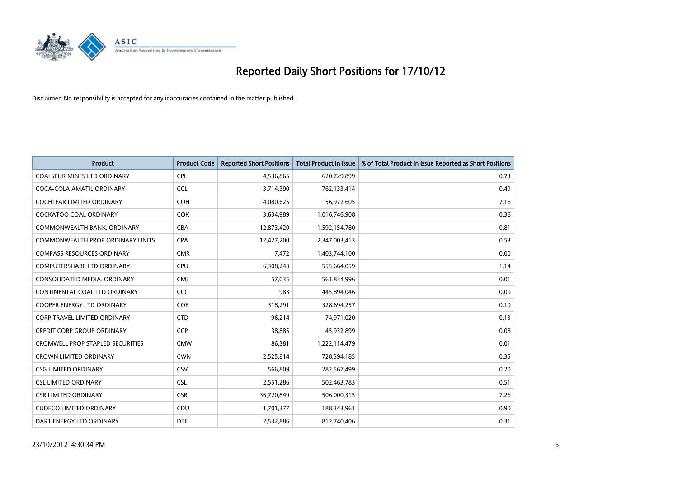

| <b>Product</b>                          | <b>Product Code</b> | <b>Reported Short Positions</b> | Total Product in Issue | % of Total Product in Issue Reported as Short Positions |
|-----------------------------------------|---------------------|---------------------------------|------------------------|---------------------------------------------------------|
| <b>COALSPUR MINES LTD ORDINARY</b>      | <b>CPL</b>          | 4,536,865                       | 620,729,899            | 0.73                                                    |
| COCA-COLA AMATIL ORDINARY               | <b>CCL</b>          | 3,714,390                       | 762,133,414            | 0.49                                                    |
| <b>COCHLEAR LIMITED ORDINARY</b>        | <b>COH</b>          | 4,080,625                       | 56,972,605             | 7.16                                                    |
| COCKATOO COAL ORDINARY                  | <b>COK</b>          | 3,634,989                       | 1,016,746,908          | 0.36                                                    |
| COMMONWEALTH BANK, ORDINARY             | <b>CBA</b>          | 12,873,420                      | 1,592,154,780          | 0.81                                                    |
| COMMONWEALTH PROP ORDINARY UNITS        | <b>CPA</b>          | 12,427,200                      | 2,347,003,413          | 0.53                                                    |
| <b>COMPASS RESOURCES ORDINARY</b>       | <b>CMR</b>          | 7,472                           | 1,403,744,100          | 0.00                                                    |
| <b>COMPUTERSHARE LTD ORDINARY</b>       | <b>CPU</b>          | 6,308,243                       | 555,664,059            | 1.14                                                    |
| CONSOLIDATED MEDIA. ORDINARY            | <b>CMI</b>          | 57,035                          | 561,834,996            | 0.01                                                    |
| CONTINENTAL COAL LTD ORDINARY           | <b>CCC</b>          | 983                             | 445,894,046            | 0.00                                                    |
| COOPER ENERGY LTD ORDINARY              | <b>COE</b>          | 318,291                         | 328,694,257            | 0.10                                                    |
| <b>CORP TRAVEL LIMITED ORDINARY</b>     | <b>CTD</b>          | 96,214                          | 74,971,020             | 0.13                                                    |
| <b>CREDIT CORP GROUP ORDINARY</b>       | <b>CCP</b>          | 38,885                          | 45,932,899             | 0.08                                                    |
| <b>CROMWELL PROP STAPLED SECURITIES</b> | <b>CMW</b>          | 86,381                          | 1,222,114,479          | 0.01                                                    |
| <b>CROWN LIMITED ORDINARY</b>           | <b>CWN</b>          | 2,525,814                       | 728,394,185            | 0.35                                                    |
| <b>CSG LIMITED ORDINARY</b>             | CSV                 | 566,809                         | 282,567,499            | 0.20                                                    |
| <b>CSL LIMITED ORDINARY</b>             | <b>CSL</b>          | 2,551,286                       | 502,463,783            | 0.51                                                    |
| <b>CSR LIMITED ORDINARY</b>             | <b>CSR</b>          | 36,720,849                      | 506,000,315            | 7.26                                                    |
| <b>CUDECO LIMITED ORDINARY</b>          | CDU                 | 1,701,377                       | 188,343,961            | 0.90                                                    |
| DART ENERGY LTD ORDINARY                | <b>DTE</b>          | 2.532.886                       | 812,740,406            | 0.31                                                    |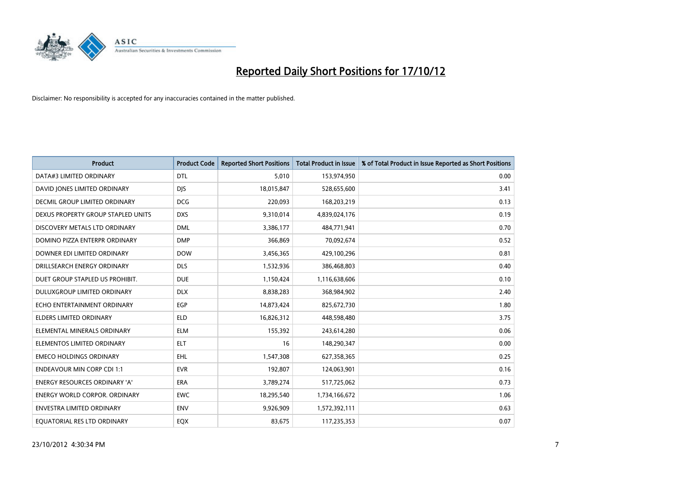

| <b>Product</b>                       | <b>Product Code</b> | <b>Reported Short Positions</b> | <b>Total Product in Issue</b> | % of Total Product in Issue Reported as Short Positions |
|--------------------------------------|---------------------|---------------------------------|-------------------------------|---------------------------------------------------------|
| DATA#3 LIMITED ORDINARY              | <b>DTL</b>          | 5,010                           | 153,974,950                   | 0.00                                                    |
| DAVID JONES LIMITED ORDINARY         | <b>DIS</b>          | 18,015,847                      | 528,655,600                   | 3.41                                                    |
| <b>DECMIL GROUP LIMITED ORDINARY</b> | <b>DCG</b>          | 220,093                         | 168,203,219                   | 0.13                                                    |
| DEXUS PROPERTY GROUP STAPLED UNITS   | <b>DXS</b>          | 9,310,014                       | 4,839,024,176                 | 0.19                                                    |
| DISCOVERY METALS LTD ORDINARY        | <b>DML</b>          | 3,386,177                       | 484,771,941                   | 0.70                                                    |
| DOMINO PIZZA ENTERPR ORDINARY        | <b>DMP</b>          | 366,869                         | 70,092,674                    | 0.52                                                    |
| DOWNER EDI LIMITED ORDINARY          | <b>DOW</b>          | 3,456,365                       | 429,100,296                   | 0.81                                                    |
| DRILLSEARCH ENERGY ORDINARY          | <b>DLS</b>          | 1,532,936                       | 386,468,803                   | 0.40                                                    |
| DUET GROUP STAPLED US PROHIBIT.      | <b>DUE</b>          | 1,150,424                       | 1,116,638,606                 | 0.10                                                    |
| DULUXGROUP LIMITED ORDINARY          | <b>DLX</b>          | 8,838,283                       | 368,984,902                   | 2.40                                                    |
| ECHO ENTERTAINMENT ORDINARY          | EGP                 | 14,873,424                      | 825,672,730                   | 1.80                                                    |
| <b>ELDERS LIMITED ORDINARY</b>       | <b>ELD</b>          | 16,826,312                      | 448,598,480                   | 3.75                                                    |
| ELEMENTAL MINERALS ORDINARY          | <b>ELM</b>          | 155,392                         | 243,614,280                   | 0.06                                                    |
| ELEMENTOS LIMITED ORDINARY           | <b>ELT</b>          | 16                              | 148,290,347                   | 0.00                                                    |
| <b>EMECO HOLDINGS ORDINARY</b>       | <b>EHL</b>          | 1,547,308                       | 627,358,365                   | 0.25                                                    |
| <b>ENDEAVOUR MIN CORP CDI 1:1</b>    | <b>EVR</b>          | 192,807                         | 124,063,901                   | 0.16                                                    |
| <b>ENERGY RESOURCES ORDINARY 'A'</b> | <b>ERA</b>          | 3,789,274                       | 517,725,062                   | 0.73                                                    |
| ENERGY WORLD CORPOR. ORDINARY        | <b>EWC</b>          | 18,295,540                      | 1,734,166,672                 | 1.06                                                    |
| <b>ENVESTRA LIMITED ORDINARY</b>     | <b>ENV</b>          | 9,926,909                       | 1,572,392,111                 | 0.63                                                    |
| EQUATORIAL RES LTD ORDINARY          | <b>EQX</b>          | 83.675                          | 117,235,353                   | 0.07                                                    |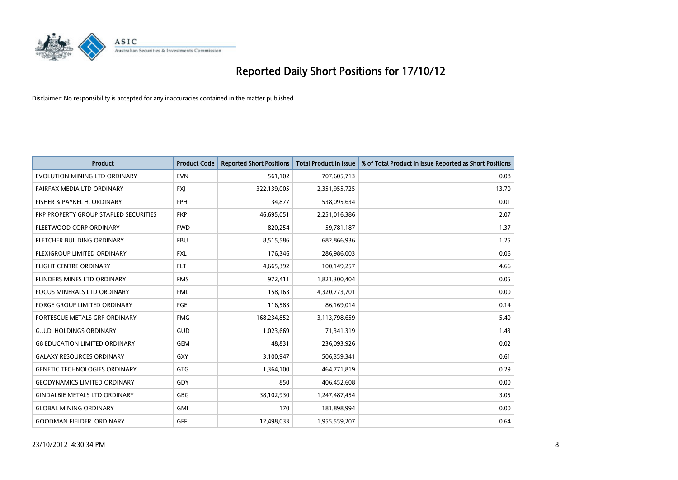

| <b>Product</b>                        | <b>Product Code</b> | <b>Reported Short Positions</b> | <b>Total Product in Issue</b> | % of Total Product in Issue Reported as Short Positions |
|---------------------------------------|---------------------|---------------------------------|-------------------------------|---------------------------------------------------------|
| EVOLUTION MINING LTD ORDINARY         | <b>EVN</b>          | 561,102                         | 707,605,713                   | 0.08                                                    |
| FAIRFAX MEDIA LTD ORDINARY            | <b>FXI</b>          | 322,139,005                     | 2,351,955,725                 | 13.70                                                   |
| FISHER & PAYKEL H. ORDINARY           | <b>FPH</b>          | 34,877                          | 538,095,634                   | 0.01                                                    |
| FKP PROPERTY GROUP STAPLED SECURITIES | <b>FKP</b>          | 46,695,051                      | 2,251,016,386                 | 2.07                                                    |
| FLEETWOOD CORP ORDINARY               | <b>FWD</b>          | 820,254                         | 59,781,187                    | 1.37                                                    |
| FLETCHER BUILDING ORDINARY            | <b>FBU</b>          | 8,515,586                       | 682,866,936                   | 1.25                                                    |
| FLEXIGROUP LIMITED ORDINARY           | <b>FXL</b>          | 176,346                         | 286,986,003                   | 0.06                                                    |
| <b>FLIGHT CENTRE ORDINARY</b>         | <b>FLT</b>          | 4,665,392                       | 100,149,257                   | 4.66                                                    |
| <b>FLINDERS MINES LTD ORDINARY</b>    | <b>FMS</b>          | 972,411                         | 1,821,300,404                 | 0.05                                                    |
| <b>FOCUS MINERALS LTD ORDINARY</b>    | <b>FML</b>          | 158,163                         | 4,320,773,701                 | 0.00                                                    |
| <b>FORGE GROUP LIMITED ORDINARY</b>   | FGE                 | 116,583                         | 86,169,014                    | 0.14                                                    |
| <b>FORTESCUE METALS GRP ORDINARY</b>  | <b>FMG</b>          | 168,234,852                     | 3,113,798,659                 | 5.40                                                    |
| <b>G.U.D. HOLDINGS ORDINARY</b>       | GUD                 | 1,023,669                       | 71,341,319                    | 1.43                                                    |
| <b>G8 EDUCATION LIMITED ORDINARY</b>  | GEM                 | 48.831                          | 236,093,926                   | 0.02                                                    |
| <b>GALAXY RESOURCES ORDINARY</b>      | GXY                 | 3,100,947                       | 506,359,341                   | 0.61                                                    |
| <b>GENETIC TECHNOLOGIES ORDINARY</b>  | <b>GTG</b>          | 1,364,100                       | 464,771,819                   | 0.29                                                    |
| <b>GEODYNAMICS LIMITED ORDINARY</b>   | GDY                 | 850                             | 406,452,608                   | 0.00                                                    |
| <b>GINDALBIE METALS LTD ORDINARY</b>  | <b>GBG</b>          | 38,102,930                      | 1,247,487,454                 | 3.05                                                    |
| <b>GLOBAL MINING ORDINARY</b>         | GMI                 | 170                             | 181,898,994                   | 0.00                                                    |
| <b>GOODMAN FIELDER, ORDINARY</b>      | <b>GFF</b>          | 12,498,033                      | 1,955,559,207                 | 0.64                                                    |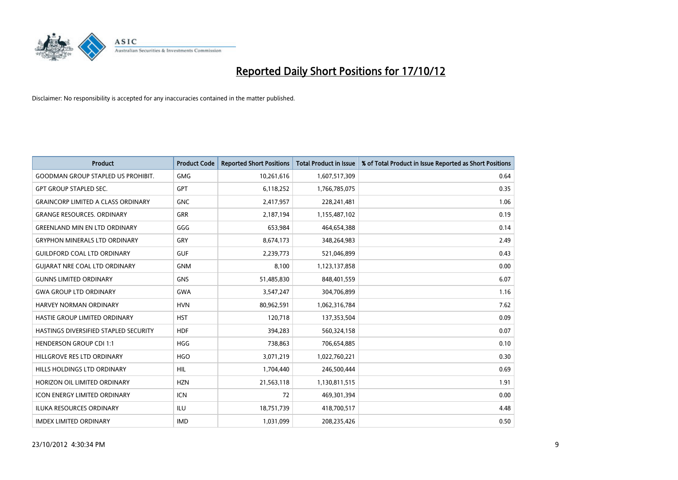

| <b>Product</b>                            | <b>Product Code</b> | <b>Reported Short Positions</b> | <b>Total Product in Issue</b> | % of Total Product in Issue Reported as Short Positions |
|-------------------------------------------|---------------------|---------------------------------|-------------------------------|---------------------------------------------------------|
| <b>GOODMAN GROUP STAPLED US PROHIBIT.</b> | <b>GMG</b>          | 10,261,616                      | 1,607,517,309                 | 0.64                                                    |
| <b>GPT GROUP STAPLED SEC.</b>             | <b>GPT</b>          | 6,118,252                       | 1,766,785,075                 | 0.35                                                    |
| <b>GRAINCORP LIMITED A CLASS ORDINARY</b> | <b>GNC</b>          | 2,417,957                       | 228,241,481                   | 1.06                                                    |
| <b>GRANGE RESOURCES. ORDINARY</b>         | <b>GRR</b>          | 2,187,194                       | 1,155,487,102                 | 0.19                                                    |
| <b>GREENLAND MIN EN LTD ORDINARY</b>      | GGG                 | 653.984                         | 464,654,388                   | 0.14                                                    |
| <b>GRYPHON MINERALS LTD ORDINARY</b>      | GRY                 | 8,674,173                       | 348,264,983                   | 2.49                                                    |
| <b>GUILDFORD COAL LTD ORDINARY</b>        | <b>GUF</b>          | 2,239,773                       | 521,046,899                   | 0.43                                                    |
| <b>GUIARAT NRE COAL LTD ORDINARY</b>      | <b>GNM</b>          | 8,100                           | 1,123,137,858                 | 0.00                                                    |
| <b>GUNNS LIMITED ORDINARY</b>             | <b>GNS</b>          | 51,485,830                      | 848,401,559                   | 6.07                                                    |
| <b>GWA GROUP LTD ORDINARY</b>             | <b>GWA</b>          | 3,547,247                       | 304,706,899                   | 1.16                                                    |
| HARVEY NORMAN ORDINARY                    | <b>HVN</b>          | 80,962,591                      | 1,062,316,784                 | 7.62                                                    |
| HASTIE GROUP LIMITED ORDINARY             | <b>HST</b>          | 120,718                         | 137,353,504                   | 0.09                                                    |
| HASTINGS DIVERSIFIED STAPLED SECURITY     | <b>HDF</b>          | 394,283                         | 560,324,158                   | 0.07                                                    |
| <b>HENDERSON GROUP CDI 1:1</b>            | <b>HGG</b>          | 738,863                         | 706,654,885                   | 0.10                                                    |
| HILLGROVE RES LTD ORDINARY                | <b>HGO</b>          | 3,071,219                       | 1,022,760,221                 | 0.30                                                    |
| HILLS HOLDINGS LTD ORDINARY               | <b>HIL</b>          | 1,704,440                       | 246,500,444                   | 0.69                                                    |
| HORIZON OIL LIMITED ORDINARY              | <b>HZN</b>          | 21,563,118                      | 1,130,811,515                 | 1.91                                                    |
| ICON ENERGY LIMITED ORDINARY              | <b>ICN</b>          | 72                              | 469,301,394                   | 0.00                                                    |
| <b>ILUKA RESOURCES ORDINARY</b>           | ILU                 | 18,751,739                      | 418,700,517                   | 4.48                                                    |
| <b>IMDEX LIMITED ORDINARY</b>             | <b>IMD</b>          | 1,031,099                       | 208,235,426                   | 0.50                                                    |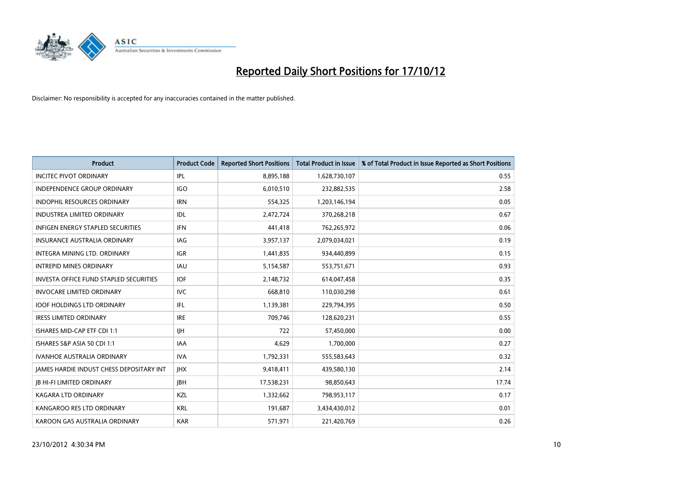

| <b>Product</b>                                  | <b>Product Code</b> | <b>Reported Short Positions</b> | <b>Total Product in Issue</b> | % of Total Product in Issue Reported as Short Positions |
|-------------------------------------------------|---------------------|---------------------------------|-------------------------------|---------------------------------------------------------|
| <b>INCITEC PIVOT ORDINARY</b>                   | IPL                 | 8,895,188                       | 1,628,730,107                 | 0.55                                                    |
| INDEPENDENCE GROUP ORDINARY                     | <b>IGO</b>          | 6,010,510                       | 232,882,535                   | 2.58                                                    |
| <b>INDOPHIL RESOURCES ORDINARY</b>              | <b>IRN</b>          | 554,325                         | 1,203,146,194                 | 0.05                                                    |
| <b>INDUSTREA LIMITED ORDINARY</b>               | <b>IDL</b>          | 2,472,724                       | 370,268,218                   | 0.67                                                    |
| <b>INFIGEN ENERGY STAPLED SECURITIES</b>        | <b>IFN</b>          | 441,418                         | 762,265,972                   | 0.06                                                    |
| <b>INSURANCE AUSTRALIA ORDINARY</b>             | IAG                 | 3,957,137                       | 2,079,034,021                 | 0.19                                                    |
| <b>INTEGRA MINING LTD, ORDINARY</b>             | <b>IGR</b>          | 1,441,835                       | 934,440,899                   | 0.15                                                    |
| <b>INTREPID MINES ORDINARY</b>                  | <b>IAU</b>          | 5,154,587                       | 553,751,671                   | 0.93                                                    |
| <b>INVESTA OFFICE FUND STAPLED SECURITIES</b>   | <b>IOF</b>          | 2,148,732                       | 614,047,458                   | 0.35                                                    |
| <b>INVOCARE LIMITED ORDINARY</b>                | <b>IVC</b>          | 668,810                         | 110,030,298                   | 0.61                                                    |
| <b>IOOF HOLDINGS LTD ORDINARY</b>               | IFL                 | 1,139,381                       | 229,794,395                   | 0.50                                                    |
| <b>IRESS LIMITED ORDINARY</b>                   | <b>IRE</b>          | 709,746                         | 128,620,231                   | 0.55                                                    |
| ISHARES MID-CAP ETF CDI 1:1                     | <b>IIH</b>          | 722                             | 57,450,000                    | 0.00                                                    |
| ISHARES S&P ASIA 50 CDI 1:1                     | <b>IAA</b>          | 4,629                           | 1,700,000                     | 0.27                                                    |
| <b>IVANHOE AUSTRALIA ORDINARY</b>               | <b>IVA</b>          | 1,792,331                       | 555,583,643                   | 0.32                                                    |
| <b>JAMES HARDIE INDUST CHESS DEPOSITARY INT</b> | <b>IHX</b>          | 9,418,411                       | 439,580,130                   | 2.14                                                    |
| <b>JB HI-FI LIMITED ORDINARY</b>                | <b>IBH</b>          | 17,538,231                      | 98,850,643                    | 17.74                                                   |
| <b>KAGARA LTD ORDINARY</b>                      | KZL                 | 1,332,662                       | 798,953,117                   | 0.17                                                    |
| KANGAROO RES LTD ORDINARY                       | <b>KRL</b>          | 191,687                         | 3,434,430,012                 | 0.01                                                    |
| KAROON GAS AUSTRALIA ORDINARY                   | <b>KAR</b>          | 571,971                         | 221,420,769                   | 0.26                                                    |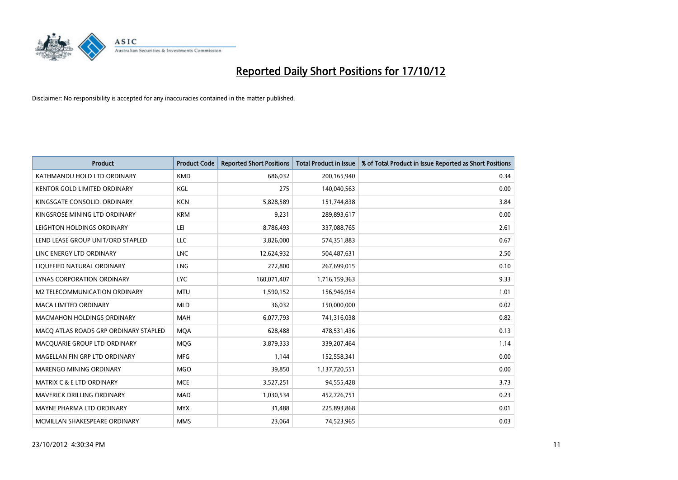

| <b>Product</b>                        | <b>Product Code</b> | <b>Reported Short Positions</b> | <b>Total Product in Issue</b> | % of Total Product in Issue Reported as Short Positions |
|---------------------------------------|---------------------|---------------------------------|-------------------------------|---------------------------------------------------------|
| KATHMANDU HOLD LTD ORDINARY           | <b>KMD</b>          | 686.032                         | 200,165,940                   | 0.34                                                    |
| <b>KENTOR GOLD LIMITED ORDINARY</b>   | KGL                 | 275                             | 140,040,563                   | 0.00                                                    |
| KINGSGATE CONSOLID. ORDINARY          | <b>KCN</b>          | 5,828,589                       | 151,744,838                   | 3.84                                                    |
| KINGSROSE MINING LTD ORDINARY         | <b>KRM</b>          | 9,231                           | 289,893,617                   | 0.00                                                    |
| LEIGHTON HOLDINGS ORDINARY            | LEI                 | 8,786,493                       | 337,088,765                   | 2.61                                                    |
| LEND LEASE GROUP UNIT/ORD STAPLED     | <b>LLC</b>          | 3,826,000                       | 574,351,883                   | 0.67                                                    |
| LINC ENERGY LTD ORDINARY              | <b>LNC</b>          | 12,624,932                      | 504,487,631                   | 2.50                                                    |
| LIQUEFIED NATURAL ORDINARY            | <b>LNG</b>          | 272,800                         | 267,699,015                   | 0.10                                                    |
| <b>LYNAS CORPORATION ORDINARY</b>     | <b>LYC</b>          | 160,071,407                     | 1,716,159,363                 | 9.33                                                    |
| M2 TELECOMMUNICATION ORDINARY         | <b>MTU</b>          | 1,590,152                       | 156,946,954                   | 1.01                                                    |
| MACA LIMITED ORDINARY                 | <b>MLD</b>          | 36,032                          | 150,000,000                   | 0.02                                                    |
| <b>MACMAHON HOLDINGS ORDINARY</b>     | <b>MAH</b>          | 6,077,793                       | 741,316,038                   | 0.82                                                    |
| MACQ ATLAS ROADS GRP ORDINARY STAPLED | <b>MQA</b>          | 628,488                         | 478,531,436                   | 0.13                                                    |
| MACQUARIE GROUP LTD ORDINARY          | <b>MOG</b>          | 3,879,333                       | 339,207,464                   | 1.14                                                    |
| MAGELLAN FIN GRP LTD ORDINARY         | <b>MFG</b>          | 1,144                           | 152,558,341                   | 0.00                                                    |
| MARENGO MINING ORDINARY               | <b>MGO</b>          | 39,850                          | 1,137,720,551                 | 0.00                                                    |
| <b>MATRIX C &amp; E LTD ORDINARY</b>  | <b>MCE</b>          | 3,527,251                       | 94,555,428                    | 3.73                                                    |
| MAVERICK DRILLING ORDINARY            | <b>MAD</b>          | 1,030,534                       | 452,726,751                   | 0.23                                                    |
| MAYNE PHARMA LTD ORDINARY             | <b>MYX</b>          | 31,488                          | 225,893,868                   | 0.01                                                    |
| MCMILLAN SHAKESPEARE ORDINARY         | <b>MMS</b>          | 23,064                          | 74,523,965                    | 0.03                                                    |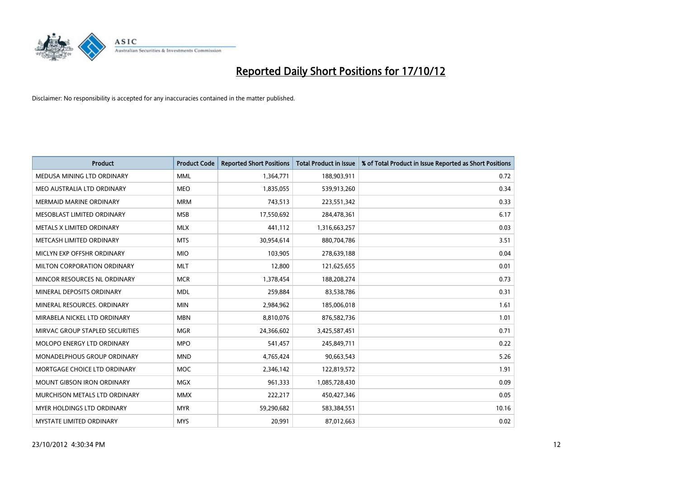

| <b>Product</b>                     | <b>Product Code</b> | <b>Reported Short Positions</b> | <b>Total Product in Issue</b> | % of Total Product in Issue Reported as Short Positions |
|------------------------------------|---------------------|---------------------------------|-------------------------------|---------------------------------------------------------|
| MEDUSA MINING LTD ORDINARY         | <b>MML</b>          | 1,364,771                       | 188,903,911                   | 0.72                                                    |
| MEO AUSTRALIA LTD ORDINARY         | <b>MEO</b>          | 1,835,055                       | 539,913,260                   | 0.34                                                    |
| <b>MERMAID MARINE ORDINARY</b>     | <b>MRM</b>          | 743,513                         | 223,551,342                   | 0.33                                                    |
| MESOBLAST LIMITED ORDINARY         | <b>MSB</b>          | 17,550,692                      | 284,478,361                   | 6.17                                                    |
| METALS X LIMITED ORDINARY          | <b>MLX</b>          | 441,112                         | 1,316,663,257                 | 0.03                                                    |
| METCASH LIMITED ORDINARY           | <b>MTS</b>          | 30,954,614                      | 880,704,786                   | 3.51                                                    |
| MICLYN EXP OFFSHR ORDINARY         | <b>MIO</b>          | 103.905                         | 278,639,188                   | 0.04                                                    |
| MILTON CORPORATION ORDINARY        | <b>MLT</b>          | 12,800                          | 121,625,655                   | 0.01                                                    |
| MINCOR RESOURCES NL ORDINARY       | <b>MCR</b>          | 1,378,454                       | 188,208,274                   | 0.73                                                    |
| MINERAL DEPOSITS ORDINARY          | <b>MDL</b>          | 259,884                         | 83,538,786                    | 0.31                                                    |
| MINERAL RESOURCES. ORDINARY        | <b>MIN</b>          | 2,984,962                       | 185,006,018                   | 1.61                                                    |
| MIRABELA NICKEL LTD ORDINARY       | <b>MBN</b>          | 8,810,076                       | 876,582,736                   | 1.01                                                    |
| MIRVAC GROUP STAPLED SECURITIES    | <b>MGR</b>          | 24,366,602                      | 3,425,587,451                 | 0.71                                                    |
| MOLOPO ENERGY LTD ORDINARY         | <b>MPO</b>          | 541,457                         | 245,849,711                   | 0.22                                                    |
| <b>MONADELPHOUS GROUP ORDINARY</b> | <b>MND</b>          | 4,765,424                       | 90,663,543                    | 5.26                                                    |
| MORTGAGE CHOICE LTD ORDINARY       | <b>MOC</b>          | 2,346,142                       | 122,819,572                   | 1.91                                                    |
| <b>MOUNT GIBSON IRON ORDINARY</b>  | <b>MGX</b>          | 961,333                         | 1,085,728,430                 | 0.09                                                    |
| MURCHISON METALS LTD ORDINARY      | <b>MMX</b>          | 222,217                         | 450,427,346                   | 0.05                                                    |
| <b>MYER HOLDINGS LTD ORDINARY</b>  | <b>MYR</b>          | 59,290,682                      | 583,384,551                   | 10.16                                                   |
| <b>MYSTATE LIMITED ORDINARY</b>    | <b>MYS</b>          | 20.991                          | 87,012,663                    | 0.02                                                    |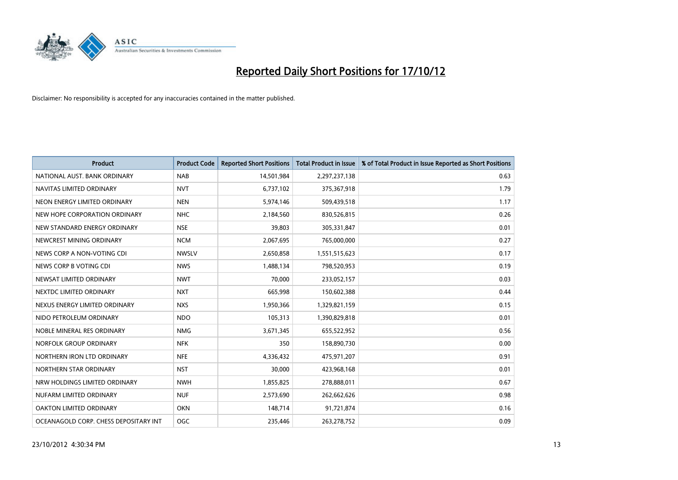

| <b>Product</b>                        | <b>Product Code</b> | <b>Reported Short Positions</b> | <b>Total Product in Issue</b> | % of Total Product in Issue Reported as Short Positions |
|---------------------------------------|---------------------|---------------------------------|-------------------------------|---------------------------------------------------------|
| NATIONAL AUST, BANK ORDINARY          | <b>NAB</b>          | 14,501,984                      | 2,297,237,138                 | 0.63                                                    |
| NAVITAS LIMITED ORDINARY              | <b>NVT</b>          | 6,737,102                       | 375,367,918                   | 1.79                                                    |
| NEON ENERGY LIMITED ORDINARY          | <b>NEN</b>          | 5,974,146                       | 509,439,518                   | 1.17                                                    |
| NEW HOPE CORPORATION ORDINARY         | <b>NHC</b>          | 2,184,560                       | 830,526,815                   | 0.26                                                    |
| NEW STANDARD ENERGY ORDINARY          | <b>NSE</b>          | 39.803                          | 305,331,847                   | 0.01                                                    |
| NEWCREST MINING ORDINARY              | <b>NCM</b>          | 2,067,695                       | 765,000,000                   | 0.27                                                    |
| NEWS CORP A NON-VOTING CDI            | <b>NWSLV</b>        | 2,650,858                       | 1,551,515,623                 | 0.17                                                    |
| NEWS CORP B VOTING CDI                | <b>NWS</b>          | 1,488,134                       | 798,520,953                   | 0.19                                                    |
| NEWSAT LIMITED ORDINARY               | <b>NWT</b>          | 70,000                          | 233,052,157                   | 0.03                                                    |
| NEXTDC LIMITED ORDINARY               | <b>NXT</b>          | 665,998                         | 150,602,388                   | 0.44                                                    |
| NEXUS ENERGY LIMITED ORDINARY         | <b>NXS</b>          | 1,950,366                       | 1,329,821,159                 | 0.15                                                    |
| NIDO PETROLEUM ORDINARY               | <b>NDO</b>          | 105,313                         | 1,390,829,818                 | 0.01                                                    |
| NOBLE MINERAL RES ORDINARY            | <b>NMG</b>          | 3,671,345                       | 655,522,952                   | 0.56                                                    |
| NORFOLK GROUP ORDINARY                | <b>NFK</b>          | 350                             | 158,890,730                   | 0.00                                                    |
| NORTHERN IRON LTD ORDINARY            | <b>NFE</b>          | 4,336,432                       | 475,971,207                   | 0.91                                                    |
| NORTHERN STAR ORDINARY                | <b>NST</b>          | 30,000                          | 423,968,168                   | 0.01                                                    |
| NRW HOLDINGS LIMITED ORDINARY         | <b>NWH</b>          | 1,855,825                       | 278,888,011                   | 0.67                                                    |
| NUFARM LIMITED ORDINARY               | <b>NUF</b>          | 2,573,690                       | 262,662,626                   | 0.98                                                    |
| OAKTON LIMITED ORDINARY               | <b>OKN</b>          | 148,714                         | 91,721,874                    | 0.16                                                    |
| OCEANAGOLD CORP. CHESS DEPOSITARY INT | <b>OGC</b>          | 235.446                         | 263,278,752                   | 0.09                                                    |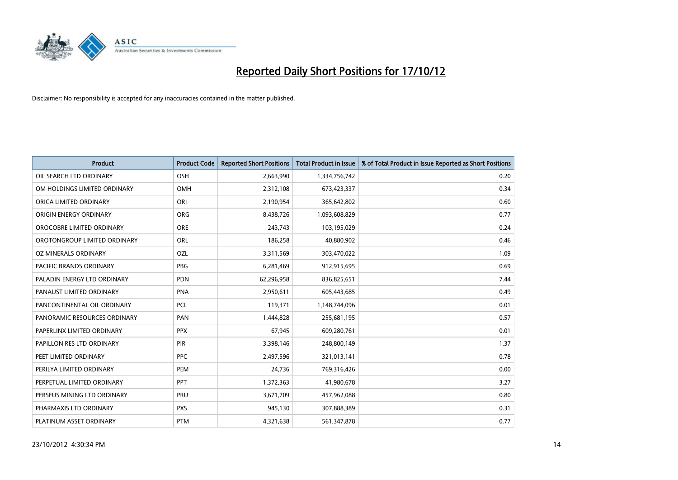

| <b>Product</b>               | <b>Product Code</b> | <b>Reported Short Positions</b> | <b>Total Product in Issue</b> | % of Total Product in Issue Reported as Short Positions |
|------------------------------|---------------------|---------------------------------|-------------------------------|---------------------------------------------------------|
| OIL SEARCH LTD ORDINARY      | OSH                 | 2,663,990                       | 1,334,756,742                 | 0.20                                                    |
| OM HOLDINGS LIMITED ORDINARY | <b>OMH</b>          | 2,312,108                       | 673,423,337                   | 0.34                                                    |
| ORICA LIMITED ORDINARY       | ORI                 | 2,190,954                       | 365,642,802                   | 0.60                                                    |
| ORIGIN ENERGY ORDINARY       | <b>ORG</b>          | 8,438,726                       | 1,093,608,829                 | 0.77                                                    |
| OROCOBRE LIMITED ORDINARY    | <b>ORE</b>          | 243,743                         | 103,195,029                   | 0.24                                                    |
| OROTONGROUP LIMITED ORDINARY | ORL                 | 186,258                         | 40,880,902                    | 0.46                                                    |
| OZ MINERALS ORDINARY         | OZL                 | 3,311,569                       | 303,470,022                   | 1.09                                                    |
| PACIFIC BRANDS ORDINARY      | PBG                 | 6,281,469                       | 912,915,695                   | 0.69                                                    |
| PALADIN ENERGY LTD ORDINARY  | <b>PDN</b>          | 62,296,958                      | 836,825,651                   | 7.44                                                    |
| PANAUST LIMITED ORDINARY     | PNA                 | 2,950,611                       | 605,443,685                   | 0.49                                                    |
| PANCONTINENTAL OIL ORDINARY  | <b>PCL</b>          | 119,371                         | 1,148,744,096                 | 0.01                                                    |
| PANORAMIC RESOURCES ORDINARY | PAN                 | 1,444,828                       | 255,681,195                   | 0.57                                                    |
| PAPERLINX LIMITED ORDINARY   | <b>PPX</b>          | 67,945                          | 609,280,761                   | 0.01                                                    |
| PAPILLON RES LTD ORDINARY    | <b>PIR</b>          | 3,398,146                       | 248,800,149                   | 1.37                                                    |
| PEET LIMITED ORDINARY        | <b>PPC</b>          | 2,497,596                       | 321,013,141                   | 0.78                                                    |
| PERILYA LIMITED ORDINARY     | PEM                 | 24,736                          | 769,316,426                   | 0.00                                                    |
| PERPETUAL LIMITED ORDINARY   | PPT                 | 1,372,363                       | 41,980,678                    | 3.27                                                    |
| PERSEUS MINING LTD ORDINARY  | PRU                 | 3,671,709                       | 457,962,088                   | 0.80                                                    |
| PHARMAXIS LTD ORDINARY       | <b>PXS</b>          | 945,130                         | 307,888,389                   | 0.31                                                    |
| PLATINUM ASSET ORDINARY      | <b>PTM</b>          | 4,321,638                       | 561,347,878                   | 0.77                                                    |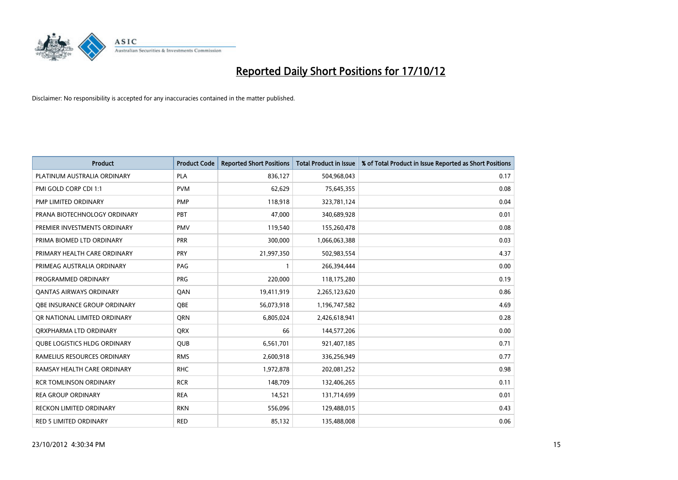

| <b>Product</b>                      | <b>Product Code</b> | <b>Reported Short Positions</b> | <b>Total Product in Issue</b> | % of Total Product in Issue Reported as Short Positions |
|-------------------------------------|---------------------|---------------------------------|-------------------------------|---------------------------------------------------------|
| PLATINUM AUSTRALIA ORDINARY         | <b>PLA</b>          | 836,127                         | 504,968,043                   | 0.17                                                    |
| PMI GOLD CORP CDI 1:1               | <b>PVM</b>          | 62,629                          | 75,645,355                    | 0.08                                                    |
| PMP LIMITED ORDINARY                | <b>PMP</b>          | 118,918                         | 323,781,124                   | 0.04                                                    |
| PRANA BIOTECHNOLOGY ORDINARY        | PBT                 | 47,000                          | 340,689,928                   | 0.01                                                    |
| PREMIER INVESTMENTS ORDINARY        | <b>PMV</b>          | 119,540                         | 155,260,478                   | 0.08                                                    |
| PRIMA BIOMED LTD ORDINARY           | <b>PRR</b>          | 300,000                         | 1,066,063,388                 | 0.03                                                    |
| PRIMARY HEALTH CARE ORDINARY        | <b>PRY</b>          | 21,997,350                      | 502,983,554                   | 4.37                                                    |
| PRIMEAG AUSTRALIA ORDINARY          | PAG                 |                                 | 266,394,444                   | 0.00                                                    |
| PROGRAMMED ORDINARY                 | <b>PRG</b>          | 220,000                         | 118,175,280                   | 0.19                                                    |
| OANTAS AIRWAYS ORDINARY             | QAN                 | 19,411,919                      | 2,265,123,620                 | 0.86                                                    |
| <b>OBE INSURANCE GROUP ORDINARY</b> | <b>OBE</b>          | 56,073,918                      | 1,196,747,582                 | 4.69                                                    |
| OR NATIONAL LIMITED ORDINARY        | <b>ORN</b>          | 6,805,024                       | 2,426,618,941                 | 0.28                                                    |
| ORXPHARMA LTD ORDINARY              | <b>QRX</b>          | 66                              | 144,577,206                   | 0.00                                                    |
| <b>QUBE LOGISTICS HLDG ORDINARY</b> | QUB                 | 6,561,701                       | 921,407,185                   | 0.71                                                    |
| RAMELIUS RESOURCES ORDINARY         | <b>RMS</b>          | 2,600,918                       | 336,256,949                   | 0.77                                                    |
| RAMSAY HEALTH CARE ORDINARY         | <b>RHC</b>          | 1,972,878                       | 202,081,252                   | 0.98                                                    |
| <b>RCR TOMLINSON ORDINARY</b>       | <b>RCR</b>          | 148,709                         | 132,406,265                   | 0.11                                                    |
| <b>REA GROUP ORDINARY</b>           | <b>REA</b>          | 14,521                          | 131,714,699                   | 0.01                                                    |
| <b>RECKON LIMITED ORDINARY</b>      | <b>RKN</b>          | 556,096                         | 129,488,015                   | 0.43                                                    |
| RED 5 LIMITED ORDINARY              | <b>RED</b>          | 85,132                          | 135,488,008                   | 0.06                                                    |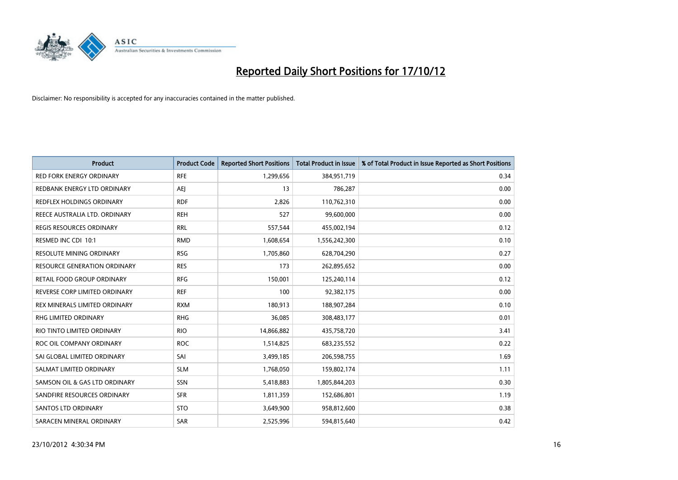

| <b>Product</b>                   | <b>Product Code</b> | <b>Reported Short Positions</b> | <b>Total Product in Issue</b> | % of Total Product in Issue Reported as Short Positions |
|----------------------------------|---------------------|---------------------------------|-------------------------------|---------------------------------------------------------|
| <b>RED FORK ENERGY ORDINARY</b>  | <b>RFE</b>          | 1,299,656                       | 384,951,719                   | 0.34                                                    |
| REDBANK ENERGY LTD ORDINARY      | AEJ                 | 13                              | 786,287                       | 0.00                                                    |
| <b>REDFLEX HOLDINGS ORDINARY</b> | <b>RDF</b>          | 2,826                           | 110,762,310                   | 0.00                                                    |
| REECE AUSTRALIA LTD. ORDINARY    | <b>REH</b>          | 527                             | 99,600,000                    | 0.00                                                    |
| <b>REGIS RESOURCES ORDINARY</b>  | <b>RRL</b>          | 557,544                         | 455,002,194                   | 0.12                                                    |
| RESMED INC CDI 10:1              | <b>RMD</b>          | 1,608,654                       | 1,556,242,300                 | 0.10                                                    |
| <b>RESOLUTE MINING ORDINARY</b>  | <b>RSG</b>          | 1,705,860                       | 628,704,290                   | 0.27                                                    |
| RESOURCE GENERATION ORDINARY     | <b>RES</b>          | 173                             | 262,895,652                   | 0.00                                                    |
| RETAIL FOOD GROUP ORDINARY       | <b>RFG</b>          | 150,001                         | 125,240,114                   | 0.12                                                    |
| REVERSE CORP LIMITED ORDINARY    | <b>REF</b>          | 100                             | 92,382,175                    | 0.00                                                    |
| REX MINERALS LIMITED ORDINARY    | <b>RXM</b>          | 180,913                         | 188,907,284                   | 0.10                                                    |
| <b>RHG LIMITED ORDINARY</b>      | <b>RHG</b>          | 36,085                          | 308,483,177                   | 0.01                                                    |
| RIO TINTO LIMITED ORDINARY       | <b>RIO</b>          | 14,866,882                      | 435,758,720                   | 3.41                                                    |
| ROC OIL COMPANY ORDINARY         | <b>ROC</b>          | 1,514,825                       | 683,235,552                   | 0.22                                                    |
| SAI GLOBAL LIMITED ORDINARY      | SAI                 | 3,499,185                       | 206,598,755                   | 1.69                                                    |
| SALMAT LIMITED ORDINARY          | <b>SLM</b>          | 1,768,050                       | 159,802,174                   | 1.11                                                    |
| SAMSON OIL & GAS LTD ORDINARY    | SSN                 | 5,418,883                       | 1,805,844,203                 | 0.30                                                    |
| SANDFIRE RESOURCES ORDINARY      | <b>SFR</b>          | 1,811,359                       | 152,686,801                   | 1.19                                                    |
| <b>SANTOS LTD ORDINARY</b>       | <b>STO</b>          | 3,649,900                       | 958,812,600                   | 0.38                                                    |
| SARACEN MINERAL ORDINARY         | SAR                 | 2,525,996                       | 594,815,640                   | 0.42                                                    |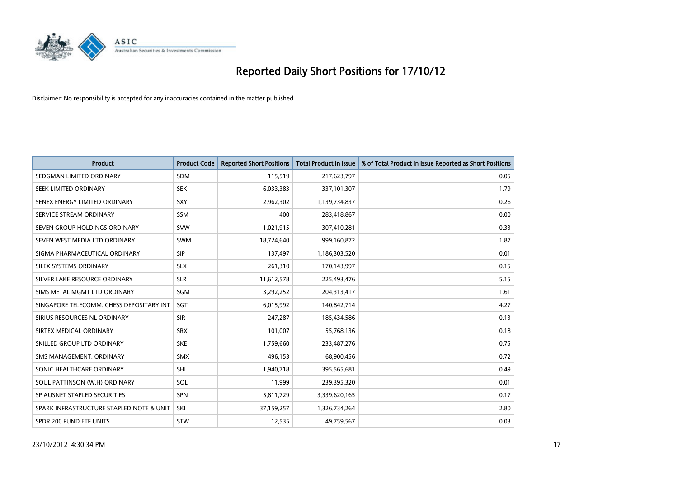

| <b>Product</b>                           | <b>Product Code</b> | <b>Reported Short Positions</b> | <b>Total Product in Issue</b> | % of Total Product in Issue Reported as Short Positions |
|------------------------------------------|---------------------|---------------------------------|-------------------------------|---------------------------------------------------------|
| SEDGMAN LIMITED ORDINARY                 | <b>SDM</b>          | 115,519                         | 217,623,797                   | 0.05                                                    |
| SEEK LIMITED ORDINARY                    | <b>SEK</b>          | 6,033,383                       | 337,101,307                   | 1.79                                                    |
| SENEX ENERGY LIMITED ORDINARY            | <b>SXY</b>          | 2,962,302                       | 1,139,734,837                 | 0.26                                                    |
| SERVICE STREAM ORDINARY                  | <b>SSM</b>          | 400                             | 283,418,867                   | 0.00                                                    |
| SEVEN GROUP HOLDINGS ORDINARY            | <b>SVW</b>          | 1,021,915                       | 307,410,281                   | 0.33                                                    |
| SEVEN WEST MEDIA LTD ORDINARY            | <b>SWM</b>          | 18,724,640                      | 999,160,872                   | 1.87                                                    |
| SIGMA PHARMACEUTICAL ORDINARY            | <b>SIP</b>          | 137,497                         | 1,186,303,520                 | 0.01                                                    |
| SILEX SYSTEMS ORDINARY                   | <b>SLX</b>          | 261,310                         | 170,143,997                   | 0.15                                                    |
| SILVER LAKE RESOURCE ORDINARY            | <b>SLR</b>          | 11,612,578                      | 225,493,476                   | 5.15                                                    |
| SIMS METAL MGMT LTD ORDINARY             | SGM                 | 3,292,252                       | 204,313,417                   | 1.61                                                    |
| SINGAPORE TELECOMM. CHESS DEPOSITARY INT | <b>SGT</b>          | 6,015,992                       | 140,842,714                   | 4.27                                                    |
| SIRIUS RESOURCES NL ORDINARY             | <b>SIR</b>          | 247,287                         | 185,434,586                   | 0.13                                                    |
| SIRTEX MEDICAL ORDINARY                  | <b>SRX</b>          | 101,007                         | 55,768,136                    | 0.18                                                    |
| SKILLED GROUP LTD ORDINARY               | <b>SKE</b>          | 1,759,660                       | 233,487,276                   | 0.75                                                    |
| SMS MANAGEMENT, ORDINARY                 | <b>SMX</b>          | 496,153                         | 68,900,456                    | 0.72                                                    |
| SONIC HEALTHCARE ORDINARY                | <b>SHL</b>          | 1,940,718                       | 395,565,681                   | 0.49                                                    |
| SOUL PATTINSON (W.H) ORDINARY            | SOL                 | 11,999                          | 239,395,320                   | 0.01                                                    |
| SP AUSNET STAPLED SECURITIES             | <b>SPN</b>          | 5,811,729                       | 3,339,620,165                 | 0.17                                                    |
| SPARK INFRASTRUCTURE STAPLED NOTE & UNIT | SKI                 | 37,159,257                      | 1,326,734,264                 | 2.80                                                    |
| SPDR 200 FUND ETF UNITS                  | <b>STW</b>          | 12,535                          | 49,759,567                    | 0.03                                                    |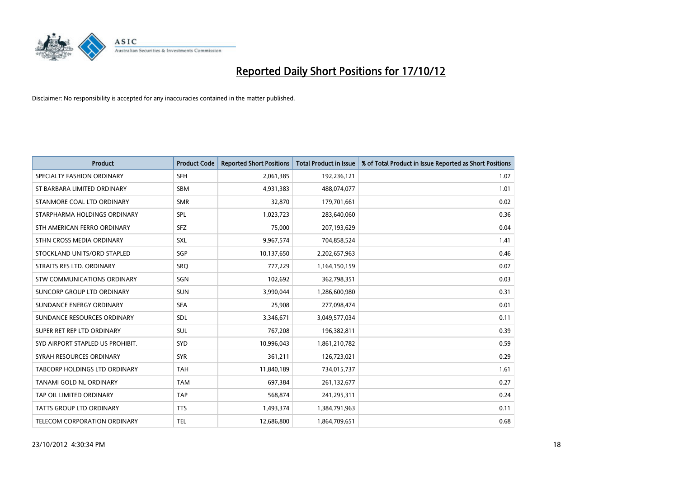

| <b>Product</b>                      | <b>Product Code</b> | <b>Reported Short Positions</b> | <b>Total Product in Issue</b> | % of Total Product in Issue Reported as Short Positions |
|-------------------------------------|---------------------|---------------------------------|-------------------------------|---------------------------------------------------------|
| SPECIALTY FASHION ORDINARY          | <b>SFH</b>          | 2,061,385                       | 192,236,121                   | 1.07                                                    |
| ST BARBARA LIMITED ORDINARY         | <b>SBM</b>          | 4,931,383                       | 488,074,077                   | 1.01                                                    |
| STANMORE COAL LTD ORDINARY          | <b>SMR</b>          | 32,870                          | 179,701,661                   | 0.02                                                    |
| STARPHARMA HOLDINGS ORDINARY        | SPL                 | 1,023,723                       | 283,640,060                   | 0.36                                                    |
| STH AMERICAN FERRO ORDINARY         | <b>SFZ</b>          | 75.000                          | 207,193,629                   | 0.04                                                    |
| STHN CROSS MEDIA ORDINARY           | <b>SXL</b>          | 9,967,574                       | 704,858,524                   | 1.41                                                    |
| STOCKLAND UNITS/ORD STAPLED         | SGP                 | 10,137,650                      | 2,202,657,963                 | 0.46                                                    |
| STRAITS RES LTD. ORDINARY           | SRO                 | 777,229                         | 1,164,150,159                 | 0.07                                                    |
| STW COMMUNICATIONS ORDINARY         | SGN                 | 102,692                         | 362,798,351                   | 0.03                                                    |
| SUNCORP GROUP LTD ORDINARY          | <b>SUN</b>          | 3,990,044                       | 1,286,600,980                 | 0.31                                                    |
| SUNDANCE ENERGY ORDINARY            | <b>SEA</b>          | 25,908                          | 277,098,474                   | 0.01                                                    |
| SUNDANCE RESOURCES ORDINARY         | <b>SDL</b>          | 3,346,671                       | 3,049,577,034                 | 0.11                                                    |
| SUPER RET REP LTD ORDINARY          | <b>SUL</b>          | 767,208                         | 196,382,811                   | 0.39                                                    |
| SYD AIRPORT STAPLED US PROHIBIT.    | SYD                 | 10,996,043                      | 1,861,210,782                 | 0.59                                                    |
| SYRAH RESOURCES ORDINARY            | <b>SYR</b>          | 361,211                         | 126,723,021                   | 0.29                                                    |
| TABCORP HOLDINGS LTD ORDINARY       | <b>TAH</b>          | 11,840,189                      | 734,015,737                   | 1.61                                                    |
| TANAMI GOLD NL ORDINARY             | <b>TAM</b>          | 697,384                         | 261,132,677                   | 0.27                                                    |
| TAP OIL LIMITED ORDINARY            | <b>TAP</b>          | 568,874                         | 241,295,311                   | 0.24                                                    |
| <b>TATTS GROUP LTD ORDINARY</b>     | <b>TTS</b>          | 1,493,374                       | 1,384,791,963                 | 0.11                                                    |
| <b>TELECOM CORPORATION ORDINARY</b> | <b>TEL</b>          | 12,686,800                      | 1,864,709,651                 | 0.68                                                    |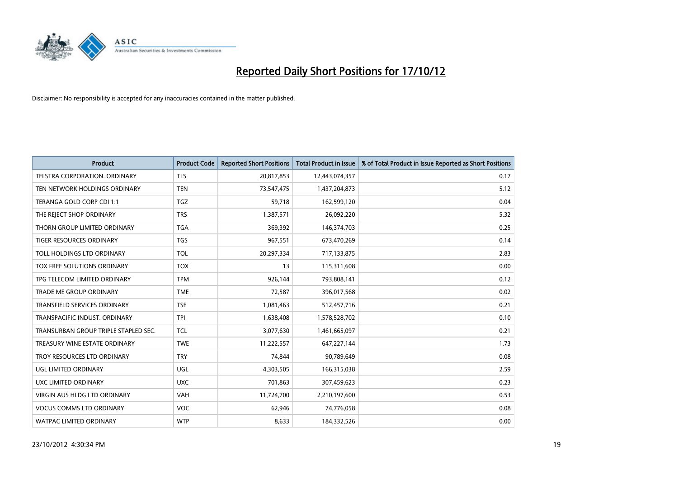

| <b>Product</b>                       | <b>Product Code</b> | <b>Reported Short Positions</b> | <b>Total Product in Issue</b> | % of Total Product in Issue Reported as Short Positions |
|--------------------------------------|---------------------|---------------------------------|-------------------------------|---------------------------------------------------------|
| <b>TELSTRA CORPORATION, ORDINARY</b> | <b>TLS</b>          | 20,817,853                      | 12,443,074,357                | 0.17                                                    |
| TEN NETWORK HOLDINGS ORDINARY        | <b>TEN</b>          | 73,547,475                      | 1,437,204,873                 | 5.12                                                    |
| TERANGA GOLD CORP CDI 1:1            | <b>TGZ</b>          | 59,718                          | 162,599,120                   | 0.04                                                    |
| THE REJECT SHOP ORDINARY             | <b>TRS</b>          | 1,387,571                       | 26,092,220                    | 5.32                                                    |
| THORN GROUP LIMITED ORDINARY         | <b>TGA</b>          | 369,392                         | 146,374,703                   | 0.25                                                    |
| <b>TIGER RESOURCES ORDINARY</b>      | <b>TGS</b>          | 967,551                         | 673,470,269                   | 0.14                                                    |
| TOLL HOLDINGS LTD ORDINARY           | TOL                 | 20,297,334                      | 717,133,875                   | 2.83                                                    |
| TOX FREE SOLUTIONS ORDINARY          | <b>TOX</b>          | 13                              | 115,311,608                   | 0.00                                                    |
| TPG TELECOM LIMITED ORDINARY         | <b>TPM</b>          | 926,144                         | 793,808,141                   | 0.12                                                    |
| <b>TRADE ME GROUP ORDINARY</b>       | <b>TME</b>          | 72,587                          | 396,017,568                   | 0.02                                                    |
| TRANSFIELD SERVICES ORDINARY         | <b>TSE</b>          | 1,081,463                       | 512,457,716                   | 0.21                                                    |
| TRANSPACIFIC INDUST, ORDINARY        | <b>TPI</b>          | 1,638,408                       | 1,578,528,702                 | 0.10                                                    |
| TRANSURBAN GROUP TRIPLE STAPLED SEC. | <b>TCL</b>          | 3,077,630                       | 1,461,665,097                 | 0.21                                                    |
| TREASURY WINE ESTATE ORDINARY        | <b>TWE</b>          | 11,222,557                      | 647,227,144                   | 1.73                                                    |
| TROY RESOURCES LTD ORDINARY          | <b>TRY</b>          | 74,844                          | 90,789,649                    | 0.08                                                    |
| UGL LIMITED ORDINARY                 | UGL                 | 4,303,505                       | 166,315,038                   | 2.59                                                    |
| UXC LIMITED ORDINARY                 | <b>UXC</b>          | 701,863                         | 307,459,623                   | 0.23                                                    |
| VIRGIN AUS HLDG LTD ORDINARY         | <b>VAH</b>          | 11,724,700                      | 2,210,197,600                 | 0.53                                                    |
| <b>VOCUS COMMS LTD ORDINARY</b>      | <b>VOC</b>          | 62,946                          | 74,776,058                    | 0.08                                                    |
| WATPAC LIMITED ORDINARY              | <b>WTP</b>          | 8,633                           | 184,332,526                   | 0.00                                                    |